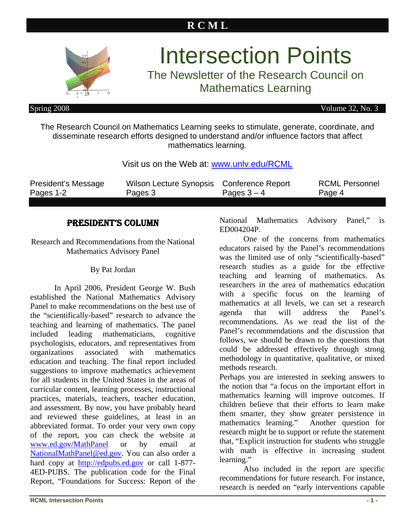# **R C M L**



# Intersection Points

The Newsletter of the Research Council on Mathematics Learning

Spring 2008 Volume 32, No. 3

The Research Council on Mathematics Learning seeks to stimulate, generate, coordinate, and disseminate research efforts designed to understand and/or influence factors that affect mathematics learning.

### Visit us on the Web at: [www.unlv.edu/RCML](http://www.unlv.edu/RCML)

| President's Message | Wilson Lecture Synopsis Conference Report |               | <b>RCML Personnel</b> |
|---------------------|-------------------------------------------|---------------|-----------------------|
| Pages 1-2           | Pages 3                                   | Pages $3 - 4$ | Page 4                |

# PRESIDENT'S COLUMN

Research and Recommendations from the National Mathematics Advisory Panel

#### By Pat Jordan

In April 2006, President George W. Bush established the National Mathematics Advisory Panel to make recommendations on the best use of the "scientifically-based" research to advance the teaching and learning of mathematics. The panel included leading mathematicians, cognitive psychologists, educators, and representatives from organizations associated with mathematics education and teaching. The final report included suggestions to improve mathematics achievement for all students in the United States in the areas of curricular content, learning processes, instructional practices, materials, teachers, teacher education, and assessment. By now, you have probably heard and reviewed these guidelines, at least in an abbreviated format. To order your very own copy of the report, you can check the website at [www.ed.gov/MathPanel](http://www.ed.gov/MathPanel) or by email at [NationalMathPanel@ed.gov](mailto:NationalMathPanel@ed.gov). You can also order a hard copy at <http://edpubs.ed.gov> or call 1-877- 4ED-PUBS. The publication code for the Final Report, "Foundations for Success: Report of the

National Mathematics Advisory Panel," is ED004204P.

One of the concerns from mathematics educators raised by the Panel's recommendations was the limited use of only "scientifically-based" research studies as a guide for the effective teaching and learning of mathematics. As researchers in the area of mathematics education with a specific focus on the learning of mathematics at all levels, we can set a research agenda that will address the Panel's recommendations. As we read the list of the Panel's recommendations and the discussion that follows, we should be drawn to the questions that could be addressed effectively through strong methodology in quantitative, qualitative, or mixed methods research.

Perhaps you are interested in seeking answers to the notion that "a focus on the important effort in mathematics learning will improve outcomes. If children believe that their efforts to learn make them smarter, they show greater persistence in mathematics learning." Another question for research might be to support or refute the statement that, "Explicit instruction for students who struggle with math is effective in increasing student learning."

Also included in the report are specific recommendations for future research. For instance, research is needed on "early interventions capable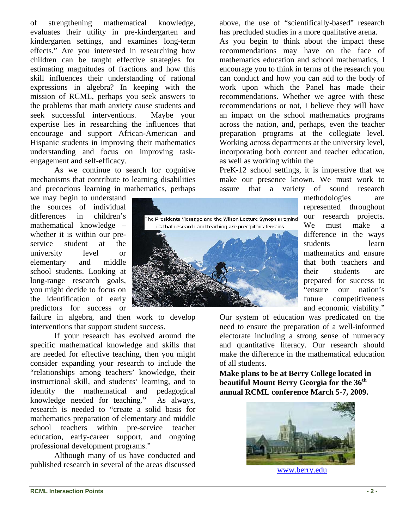of strengthening mathematical knowledge, evaluates their utility in pre-kindergarten and kindergarten settings, and examines long-term effects." Are you interested in researching how children can be taught effective strategies for estimating magnitudes of fractions and how this skill influences their understanding of rational expressions in algebra? In keeping with the mission of RCML, perhaps you seek answers to the problems that math anxiety cause students and seek successful interventions. Maybe your expertise lies in researching the influences that encourage and support African-American and Hispanic students in improving their mathematics understanding and focus on improving taskengagement and self-efficacy.

As we continue to search for cognitive mechanisms that contribute to learning disabilities and precocious learning in mathematics, perhaps

we may begin to understand the sources of individual differences in children's mathematical knowledge – whether it is within our preservice student at the university level or elementary and middle school students. Looking at long-range research goals, you might decide to focus on the identification of early predictors for success or

failure in algebra, and then work to develop interventions that support student success.

If your research has evolved around the specific mathematical knowledge and skills that are needed for effective teaching, then you might consider expanding your research to include the "relationships among teachers' knowledge, their instructional skill, and students' learning, and to identify the mathematical and pedagogical knowledge needed for teaching." As always, research is needed to "create a solid basis for mathematics preparation of elementary and middle school teachers within pre-service teacher education, early-career support, and ongoing professional development programs."

Although many of us have conducted and published research in several of the areas discussed above, the use of "scientifically-based" research has precluded studies in a more qualitative arena.

As you begin to think about the impact these recommendations may have on the face of mathematics education and school mathematics, I encourage you to think in terms of the research you can conduct and how you can add to the body of work upon which the Panel has made their recommendations. Whether we agree with these recommendations or not, I believe they will have an impact on the school mathematics programs across the nation, and, perhaps, even the teacher preparation programs at the collegiate level. Working across departments at the university level, incorporating both content and teacher education, as well as working within the

PreK-12 school settings, it is imperative that we make our presence known. We must work to assure that a variety of sound research

methodologies are represented throughout our research projects. We must make a difference in the ways students learn mathematics and ensure that both teachers and their students are prepared for success to "ensure our nation's future competitiveness and economic viability."

Our system of education was predicated on the need to ensure the preparation of a well-informed electorate including a strong sense of numeracy and quantitative literacy. Our research should make the difference in the mathematical education of all students.

**Make plans to be at Berry College located in beautiful Mount Berry Georgia for the 36th annual RCML conference March 5-7, 2009.** 



[www.berry.edu](http://www.berry.edu/)

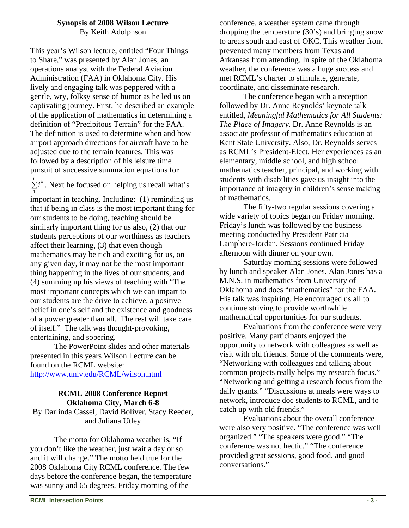## **Synopsis of 2008 Wilson Lecture**

By Keith Adolphson

This year's Wilson lecture, entitled "Four Things to Share," was presented by Alan Jones, an operations analyst with the Federal Aviation Administration (FAA) in Oklahoma City. His lively and engaging talk was peppered with a gentle, wry, folksy sense of humor as he led us on captivating journey. First, he described an example of the application of mathematics in determining a definition of "Precipitous Terrain" for the FAA. The definition is used to determine when and how airport approach directions for aircraft have to be adjusted due to the terrain features. This was followed by a description of his leisure time pursuit of successive summation equations for

 $\sum_{i=1}^{n} i^{k}$ . Next he focused on helping us recall what's

important in teaching. Including: (1) reminding us that if being in class is the most important thing for our students to be doing, teaching should be similarly important thing for us also, (2) that our students perceptions of our worthiness as teachers affect their learning, (3) that even though mathematics may be rich and exciting for us, on any given day, it may not be the most important thing happening in the lives of our students, and (4) summing up his views of teaching with "The most important concepts which we can impart to our students are the drive to achieve, a positive belief in one's self and the existence and goodness of a power greater than all. The rest will take care of itself." The talk was thought-provoking, entertaining, and sobering.

The PowerPoint slides and other materials presented in this years Wilson Lecture can be found on the RCML website:

<http://www.unlv.edu/RCML/wilson.html>

#### **RCML 2008 Conference Report Oklahoma City, March 6-8**  By Darlinda Cassel, David Boliver, Stacy Reeder, and Juliana Utley

The motto for Oklahoma weather is, "If you don't like the weather, just wait a day or so and it will change." The motto held true for the 2008 Oklahoma City RCML conference. The few days before the conference began, the temperature was sunny and 65 degrees. Friday morning of the

conference, a weather system came through dropping the temperature (30's) and bringing snow to areas south and east of OKC. This weather front prevented many members from Texas and Arkansas from attending. In spite of the Oklahoma weather, the conference was a huge success and met RCML's charter to stimulate, generate, coordinate, and disseminate research.

The conference began with a reception followed by Dr. Anne Reynolds' keynote talk entitled, *Meaningful Mathematics for All Students: The Place of Imagery*. Dr. Anne Reynolds is an associate professor of mathematics education at Kent State University. Also, Dr. Reynolds serves as RCML's President-Elect. Her experiences as an elementary, middle school, and high school mathematics teacher, principal, and working with students with disabilities gave us insight into the importance of imagery in children's sense making of mathematics.

The fifty-two regular sessions covering a wide variety of topics began on Friday morning. Friday's lunch was followed by the business meeting conducted by President Patricia Lamphere-Jordan. Sessions continued Friday afternoon with dinner on your own.

Saturday morning sessions were followed by lunch and speaker Alan Jones. Alan Jones has a M.N.S. in mathematics from University of Oklahoma and does "mathematics" for the FAA. His talk was inspiring. He encouraged us all to continue striving to provide worthwhile mathematical opportunities for our students.

Evaluations from the conference were very positive. Many participants enjoyed the opportunity to network with colleagues as well as visit with old friends. Some of the comments were, "Networking with colleagues and talking about common projects really helps my research focus." "Networking and getting a research focus from the daily grants." "Discussions at meals were ways to network, introduce doc students to RCML, and to catch up with old friends."

Evaluations about the overall conference were also very positive. "The conference was well organized." "The speakers were good." "The conference was not hectic." "The conference provided great sessions, good food, and good conversations."